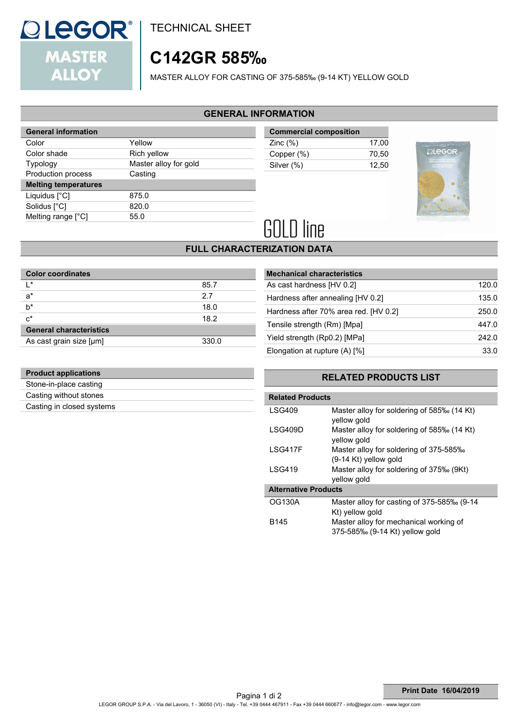

TECHNICAL SHEET

# **C142GR 585‰**

MASTER ALLOY FOR CASTING OF 375-585‰ (9-14 KT) YELLOW GOLD

#### **GENERAL INFORMATION**

| <b>General information</b>  |                       |
|-----------------------------|-----------------------|
| Color                       | Yellow                |
| Color shade                 | Rich yellow           |
| <b>Typology</b>             | Master alloy for gold |
| Production process          | Casting               |
| <b>Melting temperatures</b> |                       |
| Liquidus $[^{\circ}C]$      | 875.0                 |
| Solidus [°C]                | 820.0                 |
| Melting range [°C]          | 55.0                  |
|                             |                       |

| <b>Commercial composition</b> |       |  |
|-------------------------------|-------|--|
| Zinc $(\%)$                   | 17.00 |  |
| Copper (%)                    | 70.50 |  |
| Silver (%)                    | 12.50 |  |



# **GOLD line**

## **FULL CHARACTERIZATION DATA**

| <b>Color coordinates</b>       |       |  |
|--------------------------------|-------|--|
| l*                             | 85.7  |  |
| $a^*$                          | 2.7   |  |
| $b^*$                          | 18.0  |  |
| $c^*$                          | 18.2  |  |
| <b>General characteristics</b> |       |  |
| As cast grain size [µm]        | 330.0 |  |

| <b>Mechanical characteristics</b>     |       |
|---------------------------------------|-------|
| As cast hardness [HV 0.2]             | 120.0 |
| Hardness after annealing [HV 0.2]     | 135.0 |
| Hardness after 70% area red. [HV 0.2] | 250.0 |
| Tensile strength (Rm) [Mpa]           | 447.0 |
| Yield strength (Rp0.2) [MPa]          | 242.0 |
| Elongation at rupture $(A)$ [%]       | 33.0  |
|                                       |       |

### **RELATED PRODUCTS LIST**

| <b>Related Products</b>     |                                                                          |  |  |  |
|-----------------------------|--------------------------------------------------------------------------|--|--|--|
| <b>LSG409</b>               | Master alloy for soldering of 585‰ (14 Kt)<br>yellow gold                |  |  |  |
| LSG409D                     | Master alloy for soldering of 585‰ (14 Kt)<br>yellow gold                |  |  |  |
| <b>ISG417F</b>              | Master alloy for soldering of 375-585‰<br>(9-14 Kt) yellow gold          |  |  |  |
| <b>LSG419</b>               | Master alloy for soldering of 375‰ (9Kt)<br>yellow gold                  |  |  |  |
| <b>Alternative Products</b> |                                                                          |  |  |  |
| <b>OG130A</b>               | Master alloy for casting of 375-585‰ (9-14<br>Kt) yellow gold            |  |  |  |
| B145                        | Master alloy for mechanical working of<br>375-585‰ (9-14 Kt) yellow gold |  |  |  |